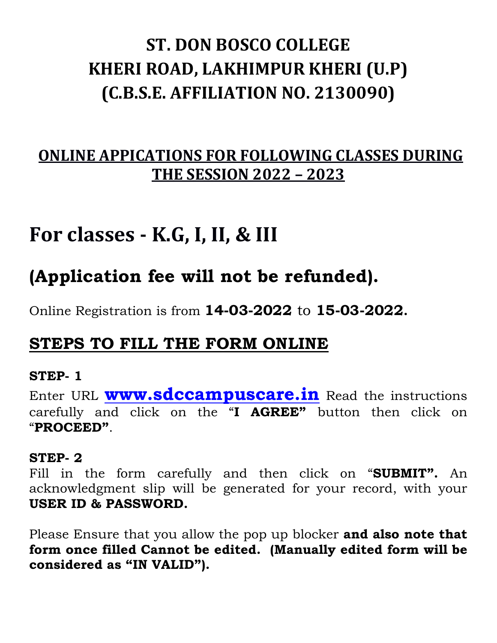# **ST. DON BOSCO COLLEGE KHERI ROAD, LAKHIMPUR KHERI (U.P) (C.B.S.E. AFFILIATION NO. 2130090)**

### **ONLINE APPICATIONS FOR FOLLOWING CLASSES DURING THE SESSION 2022 – 2023**

## **For classes - K.G, I, II, & III**

## **(Application fee will not be refunded).**

Online Registration is from **14-03-2022** to **15-03-2022.**

### **STEPS TO FILL THE FORM ONLINE**

#### **STEP- 1**

Enter URL **[www.sdccampuscare.in](http://www.sdccampuscare.in/)** Read the instructions carefully and click on the "**I AGREE"** button then click on "**PROCEED"**.

#### **STEP- 2**

Fill in the form carefully and then click on "**SUBMIT".** An acknowledgment slip will be generated for your record, with your **USER ID & PASSWORD.** 

Please Ensure that you allow the pop up blocker **and also note that form once filled Cannot be edited. (Manually edited form will be considered as "IN VALID").**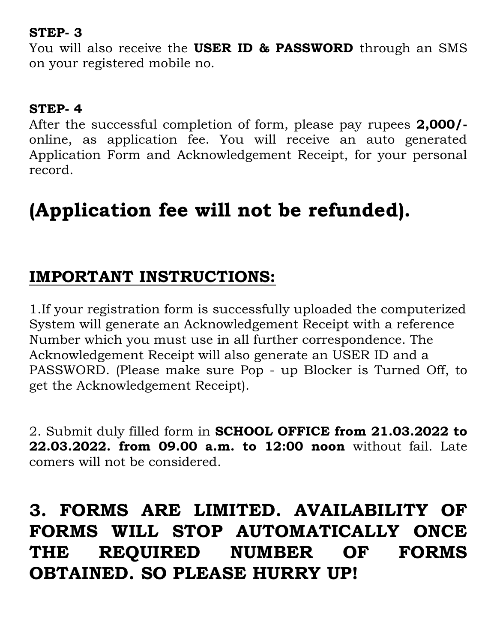#### **STEP- 3**

You will also receive the **USER ID & PASSWORD** through an SMS on your registered mobile no.

#### **STEP- 4**

After the successful completion of form, please pay rupees **2,000/** online, as application fee. You will receive an auto generated Application Form and Acknowledgement Receipt, for your personal record.

# **(Application fee will not be refunded).**

## **IMPORTANT INSTRUCTIONS:**

1.If your registration form is successfully uploaded the computerized System will generate an Acknowledgement Receipt with a reference Number which you must use in all further correspondence. The Acknowledgement Receipt will also generate an USER ID and a PASSWORD. (Please make sure Pop - up Blocker is Turned Off, to get the Acknowledgement Receipt).

2. Submit duly filled form in **SCHOOL OFFICE from 21.03.2022 to 22.03.2022. from 09.00 a.m. to 12:00 noon** without fail. Late comers will not be considered.

## **3. FORMS ARE LIMITED. AVAILABILITY OF FORMS WILL STOP AUTOMATICALLY ONCE THE REQUIRED NUMBER OF FORMS OBTAINED. SO PLEASE HURRY UP!**